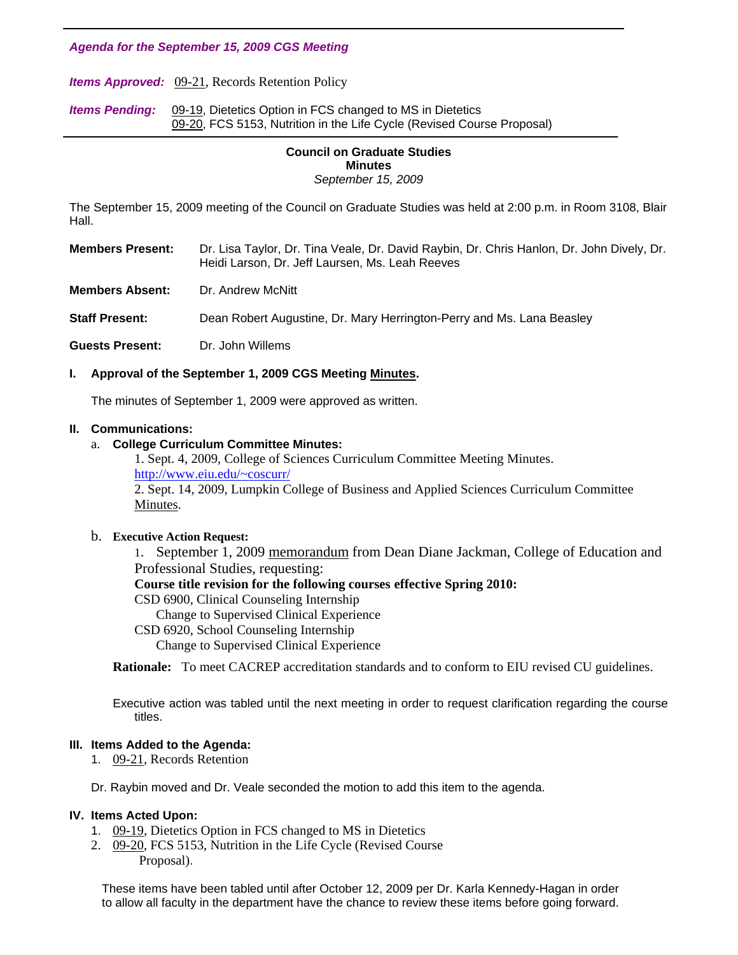*Agenda for the September 15, 2009 CGS Meeting* 

*Items Approved:* [09-21, R](http://www.eiu.edu/~eiucgs/currentagendaitems/agenda09-21.pdf)ecords Retention Policy

**Items Pending:** [09-19, D](http://www.eiu.edu/~eiucgs/currentagendaitems/agenda09-19.pdf)ietetics Option in FCS changed to MS in Dietetics [09-20, FC](http://www.eiu.edu/~eiucgs/currentagendaitems/agenda09-20.pdf)S 5153, Nutrition in the Life Cycle (Revised Course Proposal) Ì

#### **Council on Graduate Studies Minutes**  *September 15, 2009*

The September 15, 2009 meeting of the Council on Graduate Studies was held at 2:00 p.m. in Room 3108, Blair Hall.

**Members Present:** Dr. Lisa Taylor, Dr. Tina Veale, Dr. David Raybin, Dr. Chris Hanlon, Dr. John Dively, Dr. Heidi Larson, Dr. Jeff Laursen, Ms. Leah Reeves

**Members Absent:** Dr. Andrew McNitt

**Staff Present:** Dean Robert Augustine, Dr. Mary Herrington-Perry and Ms. Lana Beasley

**Guests Present:** Dr. John Willems

# **I. Approval of the September 1, 2009 CGS Meetin[g Minutes.](http://www.eiu.edu/~eiucgs/currentminutes/Minutes9-1-09.pdf)**

The minutes of September 1, 2009 were approved as written.

### **II. Communications:**

## a. **College Curriculum Committee Minutes:**

1. Sept. 4, 2009, College of Sciences Curriculum Committee Meeting Minutes. [http://www.eiu.edu/~coscurr/](http://www.eiu.edu/~coscurr/arch/arch09/min%2009-04-09.htm) 2. Sept. 14, 2009, Lumpkin College of Business and Applied Sciences Curriculum Committee [Minutes.](http://www.eiu.edu/~eiucgs/currentagendaitems/LCBASMin9-14-09.pdf) 

### b. **Executive Action Request:**

 1. September 1, 200[9 memorandum fro](http://www.eiu.edu/~eiucgs/currentagendaitems/ceps-exec-act-9-1-09.pdf)m Dean Diane Jackman, College of Education and Professional Studies, requesting:

### **Course title revision for the following courses effective Spring 2010:**

CSD 6900, Clinical Counseling Internship

Change to Supervised Clinical Experience

### CSD 6920, School Counseling Internship

Change to Supervised Clinical Experience

**Rationale:** To meet CACREP accreditation standards and to conform to EIU revised CU guidelines.

Executive action was tabled until the next meeting in order to request clarification regarding the course titles.

### **III. Items Added to the Agenda:**

1. [09-21, Re](http://www.eiu.edu/~eiucgs/currentagendaitems/agenda09-21.pdf)cords Retention

Dr. Raybin moved and Dr. Veale seconded the motion to add this item to the agenda.

### **IV. Items Acted Upon:**

- 1. [09-19,](http://www.eiu.edu/~eiucgs/currentagendaitems/agenda09-19.pdf) Dietetics Option in FCS changed to MS in Dietetics
- 2. [09-20, F](http://www.eiu.edu/~eiucgs/currentagendaitems/agenda09-20.pdf)CS 5153, Nutrition in the Life Cycle (Revised Course Proposal).

 These items have been tabled until after October 12, 2009 per Dr. Karla Kennedy-Hagan in order to allow all faculty in the department have the chance to review these items before going forward.